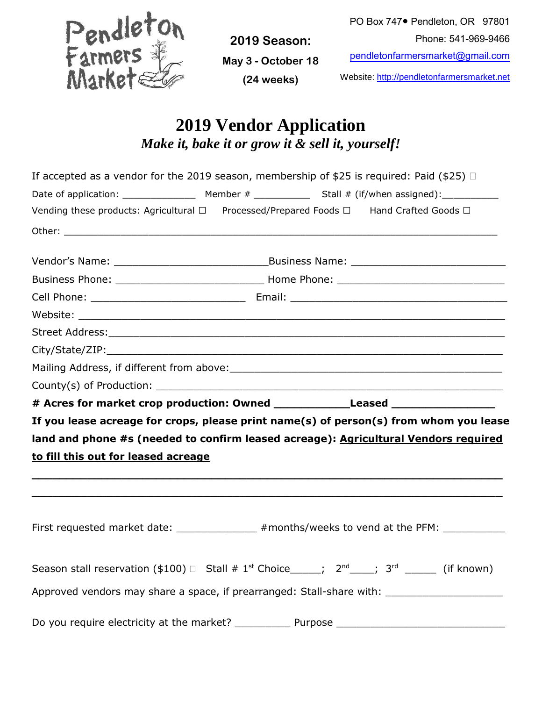

**2019 Season: May 3 - October 18 (24 weeks)**

PO Box 747● Pendleton, OR 97801 Phone: 541-969-9466

[pendletonfarmersmarket@gmail.com](mailto:pendletonfarmersmarket@gmail.com)

Website: [http://pendletonfarmersmarket.net](http://pendletonfarmersmarket.net/)

## **2019 Vendor Application** *Make it, bake it or grow it & sell it, yourself!*

|                                     | If accepted as a vendor for the 2019 season, membership of \$25 is required: Paid (\$25) $\Box$                                      |  |  |  |  |  |  |  |
|-------------------------------------|--------------------------------------------------------------------------------------------------------------------------------------|--|--|--|--|--|--|--|
|                                     |                                                                                                                                      |  |  |  |  |  |  |  |
|                                     | Vending these products: Agricultural □ Processed/Prepared Foods □ Hand Crafted Goods □                                               |  |  |  |  |  |  |  |
|                                     |                                                                                                                                      |  |  |  |  |  |  |  |
|                                     |                                                                                                                                      |  |  |  |  |  |  |  |
|                                     |                                                                                                                                      |  |  |  |  |  |  |  |
|                                     |                                                                                                                                      |  |  |  |  |  |  |  |
|                                     |                                                                                                                                      |  |  |  |  |  |  |  |
|                                     |                                                                                                                                      |  |  |  |  |  |  |  |
|                                     |                                                                                                                                      |  |  |  |  |  |  |  |
|                                     |                                                                                                                                      |  |  |  |  |  |  |  |
|                                     |                                                                                                                                      |  |  |  |  |  |  |  |
|                                     | # Acres for market crop production: Owned ________________Leased _______________                                                     |  |  |  |  |  |  |  |
|                                     | If you lease acreage for crops, please print name(s) of person(s) from whom you lease                                                |  |  |  |  |  |  |  |
|                                     | land and phone #s (needed to confirm leased acreage): Agricultural Vendors required                                                  |  |  |  |  |  |  |  |
| to fill this out for leased acreage |                                                                                                                                      |  |  |  |  |  |  |  |
|                                     |                                                                                                                                      |  |  |  |  |  |  |  |
|                                     |                                                                                                                                      |  |  |  |  |  |  |  |
|                                     | First requested market date: _____________#months/weeks to vend at the PFM: __________                                               |  |  |  |  |  |  |  |
|                                     | Season stall reservation (\$100) $\Box$ Stall # 1 <sup>st</sup> Choice_____; 2 <sup>nd</sup> ____; 3 <sup>rd</sup> ______ (if known) |  |  |  |  |  |  |  |
|                                     | Approved vendors may share a space, if prearranged: Stall-share with: ______________________________                                 |  |  |  |  |  |  |  |
|                                     |                                                                                                                                      |  |  |  |  |  |  |  |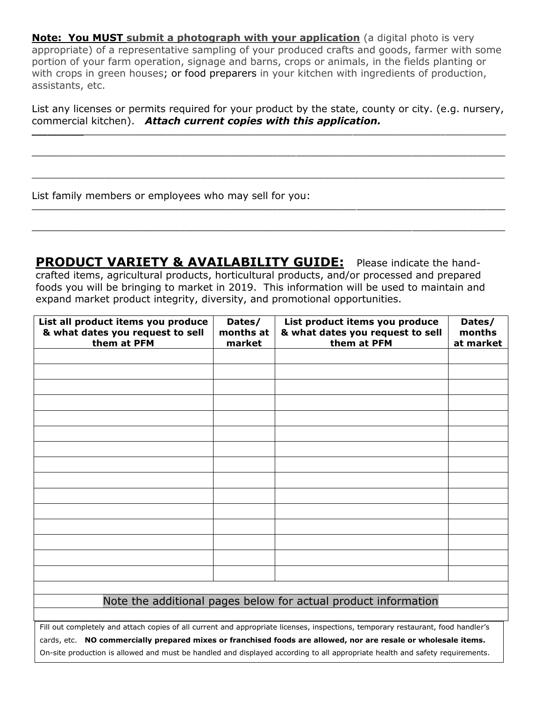**Note: You MUST submit a photograph with your application** (a digital photo is very appropriate) of a representative sampling of your produced crafts and goods, farmer with some portion of your farm operation, signage and barns, crops or animals, in the fields planting or with crops in green houses; or food preparers in your kitchen with ingredients of production, assistants, etc.

List any licenses or permits required for your product by the state, county or city. (e.g. nursery, commercial kitchen). *Attach current copies with this application. \_\_\_\_\_\_\_\_\_\_*\_\_\_\_\_\_\_\_\_\_\_\_\_\_\_\_\_\_\_\_\_\_\_\_\_\_\_\_\_\_\_\_\_\_\_\_\_\_\_\_\_\_\_\_\_\_\_\_\_\_\_\_\_\_\_\_\_\_\_\_\_\_\_\_\_\_\_\_\_\_\_\_\_\_\_\_\_\_\_\_\_\_\_\_\_\_\_\_\_\_\_

\_\_\_\_\_\_\_\_\_\_\_\_\_\_\_\_\_\_\_\_\_\_\_\_\_\_\_\_\_\_\_\_\_\_\_\_\_\_\_\_\_\_\_\_\_\_\_\_\_\_\_\_\_\_\_\_\_\_\_\_\_\_\_\_\_\_\_\_\_\_\_\_\_\_\_\_\_\_\_\_\_\_\_\_\_\_\_\_\_\_\_\_\_\_\_\_\_\_\_\_\_\_

 $\_$  ,  $\_$  ,  $\_$  ,  $\_$  ,  $\_$  ,  $\_$  ,  $\_$  ,  $\_$  ,  $\_$  ,  $\_$  ,  $\_$  ,  $\_$  ,  $\_$  ,  $\_$  ,  $\_$  ,  $\_$  ,  $\_$  ,  $\_$  ,  $\_$  ,  $\_$  ,  $\_$  ,  $\_$  ,  $\_$  ,  $\_$  ,  $\_$  ,  $\_$  ,  $\_$  ,  $\_$  ,  $\_$  ,  $\_$  ,  $\_$  ,  $\_$  ,  $\_$  ,  $\_$  ,  $\_$  ,  $\_$  ,  $\_$  ,

\_\_\_\_\_\_\_\_\_\_\_\_\_\_\_\_\_\_\_\_\_\_\_\_\_\_\_\_\_\_\_\_\_\_\_\_\_\_\_\_\_\_\_\_\_\_\_\_\_\_\_\_\_\_\_\_\_\_\_\_\_\_\_\_\_\_\_\_\_\_\_\_\_\_\_\_\_\_\_\_\_\_\_\_\_\_\_\_\_\_\_\_\_\_\_\_\_\_\_\_\_\_

\_\_\_\_\_\_\_\_\_\_\_\_\_\_\_\_\_\_\_\_\_\_\_\_\_\_\_\_\_\_\_\_\_\_\_\_\_\_\_\_\_\_\_\_\_\_\_\_\_\_\_\_\_\_\_\_\_\_\_\_\_\_\_\_\_\_\_\_\_\_\_\_\_\_\_\_\_\_\_\_\_\_\_\_\_\_\_\_\_\_\_\_\_\_\_\_\_\_\_\_\_\_

List family members or employees who may sell for you:

**PRODUCT VARIETY & AVAILABILITY GUIDE:** Please indicate the handcrafted items, agricultural products, horticultural products, and/or processed and prepared foods you will be bringing to market in 2019. This information will be used to maintain and expand market product integrity, diversity, and promotional opportunities.

| List all product items you produce<br>& what dates you request to sell<br>them at PFM | Dates/<br>months at<br>market | List product items you produce<br>& what dates you request to sell<br>them at PFM | Dates/<br>months<br>at market |
|---------------------------------------------------------------------------------------|-------------------------------|-----------------------------------------------------------------------------------|-------------------------------|
|                                                                                       |                               |                                                                                   |                               |
|                                                                                       |                               |                                                                                   |                               |
|                                                                                       |                               |                                                                                   |                               |
|                                                                                       |                               |                                                                                   |                               |
|                                                                                       |                               |                                                                                   |                               |
|                                                                                       |                               |                                                                                   |                               |
|                                                                                       |                               |                                                                                   |                               |
|                                                                                       |                               |                                                                                   |                               |
|                                                                                       |                               |                                                                                   |                               |
|                                                                                       |                               |                                                                                   |                               |
|                                                                                       |                               |                                                                                   |                               |
|                                                                                       |                               |                                                                                   |                               |
|                                                                                       |                               |                                                                                   |                               |
|                                                                                       |                               |                                                                                   |                               |
|                                                                                       |                               |                                                                                   |                               |
|                                                                                       |                               |                                                                                   |                               |

## Note the additional pages below for actual product information

Fill out completely and attach copies of all current and appropriate licenses, inspections, temporary restaurant, food handler's cards, etc. **NO commercially prepared mixes or franchised foods are allowed, nor are resale or wholesale items.** On-site production is allowed and must be handled and displayed according to all appropriate health and safety requirements.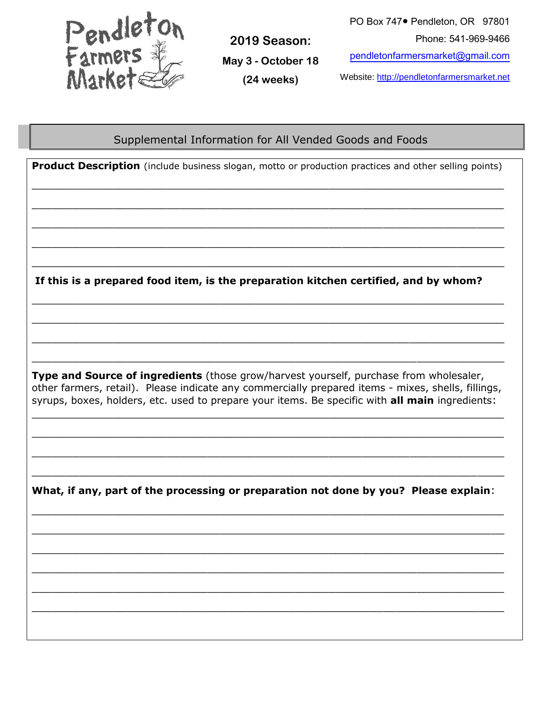

**2019 Season: May 3 - October 18 (24 weeks)**

PO Box 747● Pendleton, OR 97801 Phone: 541-969-9466 [pendletonfarmersmarket@gmail.com](mailto:pendletonfarmersmarket@gmail.com)

Website: [http://pendletonfarmersmarket.net](http://pendletonfarmersmarket.net/)

Supplemental Information for All Vended Goods and Foods

**Product Description** (include business slogan, motto or production practices and other selling points)

\_\_\_\_\_\_\_\_\_\_\_\_\_\_\_\_\_\_\_\_\_\_\_\_\_\_\_\_\_\_\_\_\_\_\_\_\_\_\_\_\_\_\_\_\_\_\_\_\_\_\_\_\_\_\_\_\_\_\_\_\_\_\_\_\_\_\_\_\_\_

\_\_\_\_\_\_\_\_\_\_\_\_\_\_\_\_\_\_\_\_\_\_\_\_\_\_\_\_\_\_\_\_\_\_\_\_\_\_\_\_\_\_\_\_\_\_\_\_\_\_\_\_\_\_\_\_\_\_\_\_\_\_\_\_\_\_\_\_\_\_

\_\_\_\_\_\_\_\_\_\_\_\_\_\_\_\_\_\_\_\_\_\_\_\_\_\_\_\_\_\_\_\_\_\_\_\_\_\_\_\_\_\_\_\_\_\_\_\_\_\_\_\_\_\_\_\_\_\_\_\_\_\_\_\_\_\_\_\_\_\_

 $\_$ 

\_\_\_\_\_\_\_\_\_\_\_\_\_\_\_\_\_\_\_\_\_\_\_\_\_\_\_\_\_\_\_\_\_\_\_\_\_\_\_\_\_\_\_\_\_\_\_\_\_\_\_\_\_\_\_\_\_\_\_\_\_\_\_\_\_\_\_\_\_\_

\_\_\_\_\_\_\_\_\_\_\_\_\_\_\_\_\_\_\_\_\_\_\_\_\_\_\_\_\_\_\_\_\_\_\_\_\_\_\_\_\_\_\_\_\_\_\_\_\_\_\_\_\_\_\_\_\_\_\_\_\_\_\_\_\_\_\_\_\_\_

\_\_\_\_\_\_\_\_\_\_\_\_\_\_\_\_\_\_\_\_\_\_\_\_\_\_\_\_\_\_\_\_\_\_\_\_\_\_\_\_\_\_\_\_\_\_\_\_\_\_\_\_\_\_\_\_\_\_\_\_\_\_\_\_\_\_\_\_\_\_

\_\_\_\_\_\_\_\_\_\_\_\_\_\_\_\_\_\_\_\_\_\_\_\_\_\_\_\_\_\_\_\_\_\_\_\_\_\_\_\_\_\_\_\_\_\_\_\_\_\_\_\_\_\_\_\_\_\_\_\_\_\_\_\_\_\_\_\_\_\_

\_\_\_\_\_\_\_\_\_\_\_\_\_\_\_\_\_\_\_\_\_\_\_\_\_\_\_\_\_\_\_\_\_\_\_\_\_\_\_\_\_\_\_\_\_\_\_\_\_\_\_\_\_\_\_\_\_\_\_\_\_\_\_\_\_\_\_\_\_\_

**If this is a prepared food item, is the preparation kitchen certified, and by whom?**

**Type and Source of ingredients** (those grow/harvest yourself, purchase from wholesaler, other farmers, retail). Please indicate any commercially prepared items - mixes, shells, fillings, syrups, boxes, holders, etc. used to prepare your items. Be specific with **all main** ingredients:

\_\_\_\_\_\_\_\_\_\_\_\_\_\_\_\_\_\_\_\_\_\_\_\_\_\_\_\_\_\_\_\_\_\_\_\_\_\_\_\_\_\_\_\_\_\_\_\_\_\_\_\_\_\_\_\_\_\_\_\_\_\_\_\_\_\_\_\_\_\_

\_\_\_\_\_\_\_\_\_\_\_\_\_\_\_\_\_\_\_\_\_\_\_\_\_\_\_\_\_\_\_\_\_\_\_\_\_\_\_\_\_\_\_\_\_\_\_\_\_\_\_\_\_\_\_\_\_\_\_\_\_\_\_\_\_\_\_\_\_\_

\_\_\_\_\_\_\_\_\_\_\_\_\_\_\_\_\_\_\_\_\_\_\_\_\_\_\_\_\_\_\_\_\_\_\_\_\_\_\_\_\_\_\_\_\_\_\_\_\_\_\_\_\_\_\_\_\_\_\_\_\_\_\_\_\_\_\_\_\_\_

\_\_\_\_\_\_\_\_\_\_\_\_\_\_\_\_\_\_\_\_\_\_\_\_\_\_\_\_\_\_\_\_\_\_\_\_\_\_\_\_\_\_\_\_\_\_\_\_\_\_\_\_\_\_\_\_\_\_\_\_\_\_\_\_\_\_\_\_\_\_

**What, if any, part of the processing or preparation not done by you? Please explain**:

\_\_\_\_\_\_\_\_\_\_\_\_\_\_\_\_\_\_\_\_\_\_\_\_\_\_\_\_\_\_\_\_\_\_\_\_\_\_\_\_\_\_\_\_\_\_\_\_\_\_\_\_\_\_\_\_\_\_\_\_\_\_\_\_\_\_\_\_\_\_

\_\_\_\_\_\_\_\_\_\_\_\_\_\_\_\_\_\_\_\_\_\_\_\_\_\_\_\_\_\_\_\_\_\_\_\_\_\_\_\_\_\_\_\_\_\_\_\_\_\_\_\_\_\_\_\_\_\_\_\_\_\_\_\_\_\_\_\_\_\_

\_\_\_\_\_\_\_\_\_\_\_\_\_\_\_\_\_\_\_\_\_\_\_\_\_\_\_\_\_\_\_\_\_\_\_\_\_\_\_\_\_\_\_\_\_\_\_\_\_\_\_\_\_\_\_\_\_\_\_\_\_\_\_\_\_\_\_\_\_\_

\_\_\_\_\_\_\_\_\_\_\_\_\_\_\_\_\_\_\_\_\_\_\_\_\_\_\_\_\_\_\_\_\_\_\_\_\_\_\_\_\_\_\_\_\_\_\_\_\_\_\_\_\_\_\_\_\_\_\_\_\_\_\_\_\_\_\_\_\_\_

\_\_\_\_\_\_\_\_\_\_\_\_\_\_\_\_\_\_\_\_\_\_\_\_\_\_\_\_\_\_\_\_\_\_\_\_\_\_\_\_\_\_\_\_\_\_\_\_\_\_\_\_\_\_\_\_\_\_\_\_\_\_\_\_\_\_\_\_\_\_

\_\_\_\_\_\_\_\_\_\_\_\_\_\_\_\_\_\_\_\_\_\_\_\_\_\_\_\_\_\_\_\_\_\_\_\_\_\_\_\_\_\_\_\_\_\_\_\_\_\_\_\_\_\_\_\_\_\_\_\_\_\_\_\_\_\_\_\_\_\_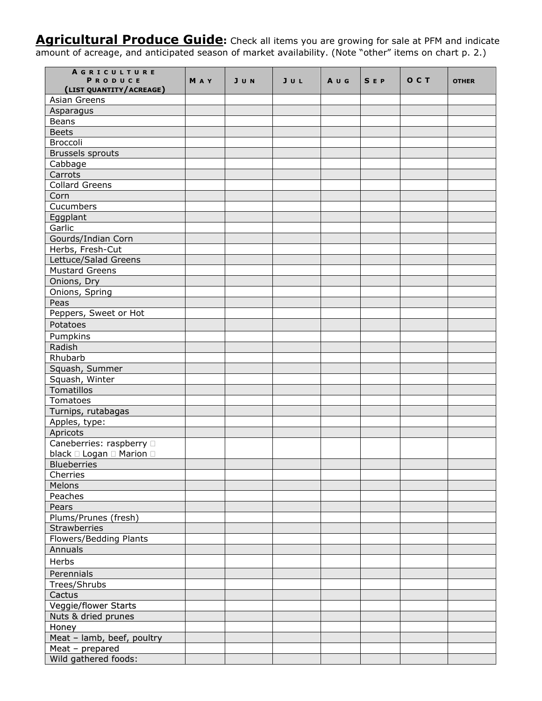**Agricultural Produce Guide:** Check all items you are growing for sale at PFM and indicate amount of acreage, and anticipated season of market availability. (Note "other" items on chart p. 2.)

| <b>AGRICULTURE</b><br>PRODUCE                        | MAY | J U N | JUL | AUG | <b>SEP</b> | OCT | <b>OTHER</b> |
|------------------------------------------------------|-----|-------|-----|-----|------------|-----|--------------|
| (LIST QUANTITY/ACREAGE)                              |     |       |     |     |            |     |              |
| Asian Greens                                         |     |       |     |     |            |     |              |
| Asparagus                                            |     |       |     |     |            |     |              |
| <b>Beans</b>                                         |     |       |     |     |            |     |              |
| <b>Beets</b>                                         |     |       |     |     |            |     |              |
| Broccoli                                             |     |       |     |     |            |     |              |
| <b>Brussels sprouts</b>                              |     |       |     |     |            |     |              |
| Cabbage                                              |     |       |     |     |            |     |              |
| Carrots                                              |     |       |     |     |            |     |              |
| <b>Collard Greens</b>                                |     |       |     |     |            |     |              |
| Corn                                                 |     |       |     |     |            |     |              |
| Cucumbers                                            |     |       |     |     |            |     |              |
| Eggplant<br>Garlic                                   |     |       |     |     |            |     |              |
| Gourds/Indian Corn                                   |     |       |     |     |            |     |              |
| Herbs, Fresh-Cut                                     |     |       |     |     |            |     |              |
| Lettuce/Salad Greens                                 |     |       |     |     |            |     |              |
| <b>Mustard Greens</b>                                |     |       |     |     |            |     |              |
|                                                      |     |       |     |     |            |     |              |
| Onions, Dry                                          |     |       |     |     |            |     |              |
| Onions, Spring<br>Peas                               |     |       |     |     |            |     |              |
| Peppers, Sweet or Hot                                |     |       |     |     |            |     |              |
| Potatoes                                             |     |       |     |     |            |     |              |
|                                                      |     |       |     |     |            |     |              |
| Pumpkins                                             |     |       |     |     |            |     |              |
| Radish                                               |     |       |     |     |            |     |              |
| Rhubarb                                              |     |       |     |     |            |     |              |
| Squash, Summer                                       |     |       |     |     |            |     |              |
| Squash, Winter                                       |     |       |     |     |            |     |              |
| Tomatillos                                           |     |       |     |     |            |     |              |
| Tomatoes                                             |     |       |     |     |            |     |              |
| Turnips, rutabagas                                   |     |       |     |     |            |     |              |
| Apples, type:                                        |     |       |     |     |            |     |              |
| Apricots                                             |     |       |     |     |            |     |              |
| Caneberries: raspberry D<br>black □ Logan □ Marion □ |     |       |     |     |            |     |              |
| Blueberries                                          |     |       |     |     |            |     |              |
| Cherries                                             |     |       |     |     |            |     |              |
| Melons                                               |     |       |     |     |            |     |              |
| Peaches                                              |     |       |     |     |            |     |              |
| Pears                                                |     |       |     |     |            |     |              |
| Plums/Prunes (fresh)                                 |     |       |     |     |            |     |              |
| Strawberries                                         |     |       |     |     |            |     |              |
| Flowers/Bedding Plants                               |     |       |     |     |            |     |              |
| Annuals                                              |     |       |     |     |            |     |              |
| Herbs                                                |     |       |     |     |            |     |              |
|                                                      |     |       |     |     |            |     |              |
| Perennials                                           |     |       |     |     |            |     |              |
| Trees/Shrubs                                         |     |       |     |     |            |     |              |
| Cactus                                               |     |       |     |     |            |     |              |
| Veggie/flower Starts                                 |     |       |     |     |            |     |              |
| Nuts & dried prunes                                  |     |       |     |     |            |     |              |
| Honey                                                |     |       |     |     |            |     |              |
| Meat - lamb, beef, poultry                           |     |       |     |     |            |     |              |
| Meat - prepared                                      |     |       |     |     |            |     |              |
| Wild gathered foods:                                 |     |       |     |     |            |     |              |